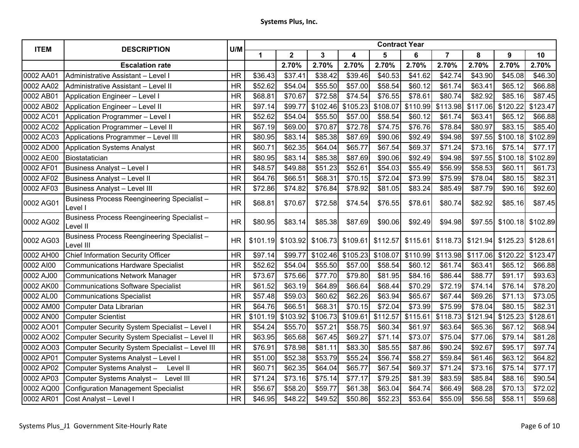| <b>ITEM</b> | <b>DESCRIPTION</b>                                             | U/M       | <b>Contract Year</b> |              |          |          |          |          |          |          |          |          |  |
|-------------|----------------------------------------------------------------|-----------|----------------------|--------------|----------|----------|----------|----------|----------|----------|----------|----------|--|
|             |                                                                |           | 1                    | $\mathbf{2}$ | 3        | 4        | 5        | 6        | 7        | 8        | 9        | 10       |  |
|             | <b>Escalation rate</b>                                         |           |                      | 2.70%        | 2.70%    | 2.70%    | 2.70%    | 2.70%    | 2.70%    | 2.70%    | 2.70%    | 2.70%    |  |
| 0002 AA01   | Administrative Assistant - Level I                             | <b>HR</b> | \$36.43              | \$37.41      | \$38.42  | \$39.46  | \$40.53  | \$41.62  | \$42.74  | \$43.90  | \$45.08  | \$46.30  |  |
| 0002 AA02   | Administrative Assistant - Level II                            | <b>HR</b> | \$52.62              | \$54.04      | \$55.50  | \$57.00  | \$58.54  | \$60.12  | \$61.74  | \$63.41  | \$65.12  | \$66.88  |  |
| 0002 AB01   | Application Engineer - Level I                                 | <b>HR</b> | \$68.81              | \$70.67      | \$72.58  | \$74.54  | \$76.55  | \$78.61  | \$80.74  | \$82.92  | \$85.16  | \$87.45  |  |
| 0002 AB02   | Application Engineer - Level II                                | <b>HR</b> | \$97.14              | \$99.77      | \$102.46 | \$105.23 | \$108.07 | \$110.99 | \$113.98 | \$117.06 | \$120.22 | \$123.47 |  |
| 0002 AC01   | Application Programmer - Level I                               | <b>HR</b> | \$52.62              | \$54.04      | \$55.50  | \$57.00  | \$58.54  | \$60.12  | \$61.74  | \$63.41  | \$65.12  | \$66.88  |  |
| 0002 AC02   | Application Programmer - Level II                              | <b>HR</b> | \$67.19              | \$69.00      | \$70.87  | \$72.78  | \$74.75  | \$76.76  | \$78.84  | \$80.97  | \$83.15  | \$85.40  |  |
| 0002 AC03   | <b>Applications Programmer - Level III</b>                     | <b>HR</b> | \$80.95              | \$83.14      | \$85.38  | \$87.69  | \$90.06  | \$92.49  | \$94.98  | \$97.55  | \$100.18 | \$102.89 |  |
| 0002 AD00   | <b>Application Systems Analyst</b>                             | <b>HR</b> | \$60.71              | \$62.35      | \$64.04  | \$65.77  | \$67.54  | \$69.37  | \$71.24  | \$73.16  | \$75.14  | \$77.17  |  |
| 0002 AE00   | Biostatatician                                                 | <b>HR</b> | \$80.95              | \$83.14      | \$85.38  | \$87.69  | \$90.06  | \$92.49  | \$94.98  | \$97.55  | \$100.18 | \$102.89 |  |
| 0002 AF01   | <b>Business Analyst - Level I</b>                              | <b>HR</b> | \$48.57              | \$49.88      | \$51.23  | \$52.61  | \$54.03  | \$55.49  | \$56.99  | \$58.53  | \$60.11  | \$61.73  |  |
| 0002 AF02   | Business Analyst - Level II                                    | <b>HR</b> | \$64.76              | \$66.51      | \$68.31  | \$70.15  | \$72.04  | \$73.99  | \$75.99  | \$78.04  | \$80.15  | \$82.31  |  |
| 0002 AF03   | <b>Business Analyst - Level III</b>                            | <b>HR</b> | \$72.86              | \$74.82      | \$76.84  | \$78.92  | \$81.05  | \$83.24  | \$85.49  | \$87.79  | \$90.16  | \$92.60  |  |
| 0002 AG01   | <b>Business Process Reengineering Specialist -</b><br>Level I  | <b>HR</b> | \$68.81              | \$70.67      | \$72.58  | \$74.54  | \$76.55  | \$78.61  | \$80.74  | \$82.92  | \$85.16  | \$87.45  |  |
| 0002 AG02   | <b>Business Process Reengineering Specialist -</b><br>Level II | <b>HR</b> | \$80.95              | \$83.14      | \$85.38  | \$87.69  | \$90.06  | \$92.49  | \$94.98  | \$97.55  | \$100.18 | \$102.89 |  |
| 0002 AG03   | Business Process Reengineering Specialist-<br>Level III        | <b>HR</b> | \$101.19             | \$103.92     | \$106.73 | \$109.61 | \$112.57 | \$115.61 | \$118.73 | \$121.94 | \$125.23 | \$128.61 |  |
| 0002 AH00   | <b>Chief Information Security Officer</b>                      | <b>HR</b> | \$97.14              | \$99.77      | \$102.46 | \$105.23 | \$108.07 | \$110.99 | \$113.98 | \$117.06 | \$120.22 | \$123.47 |  |
| 0002 AI00   | <b>Communications Hardware Specialist</b>                      | <b>HR</b> | \$52.62              | \$54.04      | \$55.50  | \$57.00  | \$58.54  | \$60.12  | \$61.74  | \$63.41  | \$65.12  | \$66.88  |  |
| 0002 AJ00   | <b>Communications Network Manager</b>                          | <b>HR</b> | \$73.67              | \$75.66      | \$77.70  | \$79.80  | \$81.95  | \$84.16  | \$86.44  | \$88.77  | \$91.17  | \$93.63  |  |
| 0002 AK00   | <b>Communications Software Specialist</b>                      | <b>HR</b> | \$61.52              | \$63.19      | \$64.89  | \$66.64  | \$68.44  | \$70.29  | \$72.19  | \$74.14  | \$76.14  | \$78.20  |  |
| 0002 AL00   | <b>Communications Specialist</b>                               | <b>HR</b> | \$57.48              | \$59.03      | \$60.62  | \$62.26  | \$63.94  | \$65.67  | \$67.44  | \$69.26  | \$71.13  | \$73.05  |  |
| 0002 AM00   | Computer Data Librarian                                        | <b>HR</b> | \$64.76              | \$66.51      | \$68.31  | \$70.15  | \$72.04  | \$73.99  | \$75.99  | \$78.04  | \$80.15  | \$82.31  |  |
| 0002 AN00   | <b>Computer Scientist</b>                                      | <b>HR</b> | \$101.19             | \$103.92     | \$106.73 | \$109.61 | \$112.57 | \$115.61 | \$118.73 | \$121.94 | \$125.23 | \$128.61 |  |
| 0002 AO01   | Computer Security System Specialist - Level I                  | <b>HR</b> | \$54.24              | \$55.70      | \$57.21  | \$58.75  | \$60.34  | \$61.97  | \$63.64  | \$65.36  | \$67.12  | \$68.94  |  |
| 0002 AO02   | Computer Security System Specialist - Level II                 | <b>HR</b> | \$63.95              | \$65.68      | \$67.45  | \$69.27  | \$71.14  | \$73.07  | \$75.04  | \$77.06  | \$79.14  | \$81.28  |  |
| 0002 AO03   | Computer Security System Specialist - Level III                | <b>HR</b> | \$76.91              | \$78.98      | \$81.11  | \$83.30  | \$85.55  | \$87.86  | \$90.24  | \$92.67  | \$95.17  | \$97.74  |  |
| 0002 AP01   | Computer Systems Analyst - Level I                             | <b>HR</b> | \$51.00              | \$52.38      | \$53.79  | \$55.24  | \$56.74  | \$58.27  | \$59.84  | \$61.46  | \$63.12  | \$64.82  |  |
| 0002 AP02   | Computer Systems Analyst-<br>Level II                          | <b>HR</b> | \$60.71              | \$62.35      | \$64.04  | \$65.77  | \$67.54  | \$69.37  | \$71.24  | \$73.16  | \$75.14  | \$77.17  |  |
| 0002 AP03   | Computer Systems Analyst-<br>Level III                         | <b>HR</b> | \$71.24              | \$73.16      | \$75.14  | \$77.17  | \$79.25  | \$81.39  | \$83.59  | \$85.84  | \$88.16  | \$90.54  |  |
| 0002 AQ00   | <b>Configuration Management Specialist</b>                     | <b>HR</b> | \$56.67              | \$58.20      | \$59.77  | \$61.38  | \$63.04  | \$64.74  | \$66.49  | \$68.28  | \$70.13  | \$72.02  |  |
| 0002 AR01   | Cost Analyst - Level I                                         | <b>HR</b> | \$46.95              | \$48.22      | \$49.52  | \$50.86  | \$52.23  | \$53.64  | \$55.09  | \$56.58  | \$58.11  | \$59.68  |  |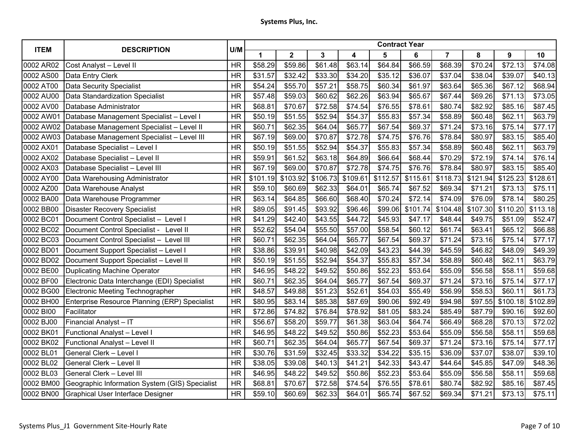| <b>ITEM</b> | <b>DESCRIPTION</b>                             | U/M       | <b>Contract Year</b> |             |          |          |          |          |                |          |          |          |  |
|-------------|------------------------------------------------|-----------|----------------------|-------------|----------|----------|----------|----------|----------------|----------|----------|----------|--|
|             |                                                |           | 1                    | $\mathbf 2$ | 3        | 4        | 5        | 6        | $\overline{7}$ | 8        | 9        | 10       |  |
| 0002 AR02   | Cost Analyst - Level II                        | <b>HR</b> | \$58.29              | \$59.86     | \$61.48  | \$63.14  | \$64.84  | \$66.59  | \$68.39        | \$70.24  | \$72.13  | \$74.08  |  |
| 0002 AS00   | Data Entry Clerk                               | <b>HR</b> | \$31.57              | \$32.42     | \$33.30  | \$34.20  | \$35.12  | \$36.07  | \$37.04        | \$38.04  | \$39.07  | \$40.13  |  |
| 0002 AT00   | <b>Data Security Specialist</b>                | <b>HR</b> | \$54.24              | \$55.70     | \$57.21  | \$58.75  | \$60.34  | \$61.97  | \$63.64        | \$65.36  | \$67.12  | \$68.94  |  |
| 0002 AU00   | Data Standardization Specialist                | <b>HR</b> | \$57.48              | \$59.03     | \$60.62  | \$62.26  | \$63.94  | \$65.67  | \$67.44        | \$69.26  | \$71.13  | \$73.05  |  |
| 0002 AV00   | Database Administrator                         | <b>HR</b> | \$68.81              | \$70.67     | \$72.58  | \$74.54  | \$76.55  | \$78.61  | \$80.74        | \$82.92  | \$85.16  | \$87.45  |  |
| 0002 AW01   | Database Management Specialist - Level I       | <b>HR</b> | \$50.19              | \$51.55     | \$52.94  | \$54.37  | \$55.83  | \$57.34  | \$58.89        | \$60.48  | \$62.11  | \$63.79  |  |
| 0002 AW02   | Database Management Specialist - Level II      | <b>HR</b> | \$60.71              | \$62.35     | \$64.04  | \$65.77  | \$67.54  | \$69.37  | \$71.24        | \$73.16  | \$75.14  | \$77.17  |  |
| 0002 AW03   | Database Management Specialist - Level III     | <b>HR</b> | \$67.19              | \$69.00     | \$70.87  | \$72.78  | \$74.75  | \$76.76  | \$78.84        | \$80.97  | \$83.15  | \$85.40  |  |
| 0002 AX01   | Database Specialist - Level I                  | <b>HR</b> | \$50.19              | \$51.55     | \$52.94  | \$54.37  | \$55.83  | \$57.34  | \$58.89        | \$60.48  | \$62.11  | \$63.79  |  |
| 0002 AX02   | Database Specialist - Level II                 | <b>HR</b> | \$59.91              | \$61.52     | \$63.18  | \$64.89  | \$66.64  | \$68.44  | \$70.29        | \$72.19  | \$74.14  | \$76.14  |  |
| 0002 AX03   | Database Specialist - Level III                | <b>HR</b> | \$67.19              | \$69.00     | \$70.87  | \$72.78  | \$74.75  | \$76.76  | \$78.84        | \$80.97  | \$83.15  | \$85.40  |  |
| 0002 AY00   | Data Warehousing Administrator                 | <b>HR</b> | \$101.19             | \$103.92    | \$106.73 | \$109.61 | \$112.57 | \$115.61 | \$118.73       | \$121.94 | \$125.23 | \$128.61 |  |
| 0002 AZ00   | Data Warehouse Analyst                         | <b>HR</b> | \$59.10              | \$60.69     | \$62.33  | \$64.01  | \$65.74  | \$67.52  | \$69.34        | \$71.21  | \$73.13  | \$75.11  |  |
| 0002 BA00   | Data Warehouse Programmer                      | <b>HR</b> | \$63.14              | \$64.85     | \$66.60  | \$68.40  | \$70.24  | \$72.14  | \$74.09        | \$76.09  | \$78.14  | \$80.25  |  |
| 0002 BB00   | <b>Disaster Recovery Specialist</b>            | <b>HR</b> | \$89.05              | \$91.45     | \$93.92  | \$96.46  | \$99.06  | \$101.74 | \$104.48       | \$107.30 | \$110.20 | \$113.18 |  |
| 0002 BC01   | Document Control Specialist - Level I          | <b>HR</b> | \$41.29              | \$42.40     | \$43.55  | \$44.72  | \$45.93  | \$47.17  | \$48.44        | \$49.75  | \$51.09  | \$52.47  |  |
| 0002 BC02   | Document Control Specialist - Level II         | <b>HR</b> | \$52.62              | \$54.04     | \$55.50  | \$57.00  | \$58.54  | \$60.12  | \$61.74        | \$63.41  | \$65.12  | \$66.88  |  |
| 0002 BC03   | Document Control Specialist - Level III        | <b>HR</b> | \$60.71              | \$62.35     | \$64.04  | \$65.77  | \$67.54  | \$69.37  | \$71.24        | \$73.16  | \$75.14  | \$77.17  |  |
| 0002 BD01   | Document Support Specialist - Level I          | <b>HR</b> | \$38.86              | \$39.91     | \$40.98  | \$42.09  | \$43.23  | \$44.39  | \$45.59        | \$46.82  | \$48.09  | \$49.39  |  |
| 0002 BD02   | Document Support Specialist - Level II         | <b>HR</b> | \$50.19              | \$51.55     | \$52.94  | \$54.37  | \$55.83  | \$57.34  | \$58.89        | \$60.48  | \$62.11  | \$63.79  |  |
| 0002 BE00   | <b>Duplicating Machine Operator</b>            | <b>HR</b> | \$46.95              | \$48.22     | \$49.52  | \$50.86  | \$52.23  | \$53.64  | \$55.09        | \$56.58  | \$58.11  | \$59.68  |  |
| 0002 BF00   | Electronic Data Interchange (EDI) Specialist   | <b>HR</b> | \$60.71              | \$62.35     | \$64.04  | \$65.77  | \$67.54  | \$69.37  | \$71.24        | \$73.16  | \$75.14  | \$77.17  |  |
| 0002 BG00   | Electronic Meeting Technographer               | <b>HR</b> | \$48.57              | \$49.88     | \$51.23  | \$52.61  | \$54.03  | \$55.49  | \$56.99        | \$58.53  | \$60.11  | \$61.73  |  |
| 0002 BH00   | Enterprise Resource Planning (ERP) Specialist  | <b>HR</b> | \$80.95              | \$83.14     | \$85.38  | \$87.69  | \$90.06  | \$92.49  | \$94.98        | \$97.55  | \$100.18 | \$102.89 |  |
| 0002 BI00   | Facilitator                                    | <b>HR</b> | \$72.86              | \$74.82     | \$76.84  | \$78.92  | \$81.05  | \$83.24  | \$85.49        | \$87.79  | \$90.16  | \$92.60  |  |
| 0002 BJ00   | Financial Analyst - IT                         | <b>HR</b> | \$56.67              | \$58.20     | \$59.77  | \$61.38  | \$63.04  | \$64.74  | \$66.49        | \$68.28  | \$70.13  | \$72.02  |  |
| 0002 BK01   | Functional Analyst - Level I                   | <b>HR</b> | \$46.95              | \$48.22     | \$49.52  | \$50.86  | \$52.23  | \$53.64  | \$55.09        | \$56.58  | \$58.11  | \$59.68  |  |
| 0002 BK02   | Functional Analyst - Level II                  | <b>HR</b> | \$60.71              | \$62.35     | \$64.04  | \$65.77  | \$67.54  | \$69.37  | \$71.24        | \$73.16  | \$75.14  | \$77.17  |  |
| 0002 BL01   | General Clerk - Level I                        | <b>HR</b> | \$30.76              | \$31.59     | \$32.45  | \$33.32  | \$34.22  | \$35.15  | \$36.09        | \$37.07  | \$38.07  | \$39.10  |  |
| 0002 BL02   | General Clerk - Level II                       | <b>HR</b> | \$38.05              | \$39.08     | \$40.13  | \$41.21  | \$42.33  | \$43.47  | \$44.64        | \$45.85  | \$47.09  | \$48.36  |  |
| 0002 BL03   | General Clerk - Level III                      | <b>HR</b> | \$46.95              | \$48.22     | \$49.52  | \$50.86  | \$52.23  | \$53.64  | \$55.09        | \$56.58  | \$58.11  | \$59.68  |  |
| 0002 BM00   | Geographic Information System (GIS) Specialist | <b>HR</b> | \$68.81              | \$70.67     | \$72.58  | \$74.54  | \$76.55  | \$78.61  | \$80.74        | \$82.92  | \$85.16  | \$87.45  |  |
| 0002 BN00   | Graphical User Interface Designer              | <b>HR</b> | \$59.10              | \$60.69     | \$62.33  | \$64.01  | \$65.74  | \$67.52  | \$69.34        | \$71.21  | \$73.13  | \$75.11  |  |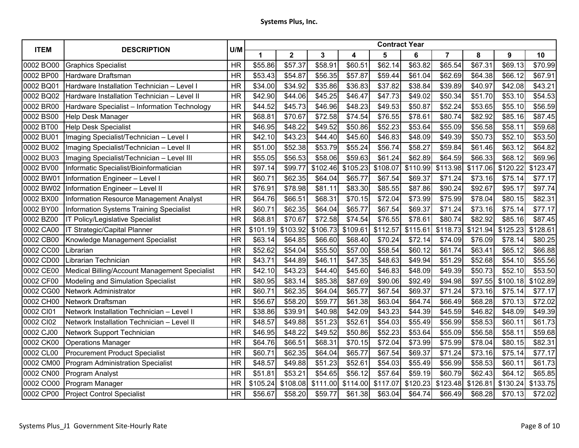| <b>ITEM</b> | <b>DESCRIPTION</b>                             | U/M       | <b>Contract Year</b> |             |          |          |          |          |          |          |          |          |  |
|-------------|------------------------------------------------|-----------|----------------------|-------------|----------|----------|----------|----------|----------|----------|----------|----------|--|
|             |                                                |           | 1                    | $\mathbf 2$ | 3        | 4        | 5        | 6        | 7        | 8        | 9        | 10       |  |
| 0002 BO00   | <b>Graphics Specialist</b>                     | <b>HR</b> | \$55.86              | \$57.37     | \$58.91  | \$60.51  | \$62.14  | \$63.82  | \$65.54  | \$67.31  | \$69.13  | \$70.99  |  |
| 0002 BP00   | Hardware Draftsman                             | <b>HR</b> | \$53.43              | \$54.87     | \$56.35  | \$57.87  | \$59.44  | \$61.04  | \$62.69  | \$64.38  | \$66.12  | \$67.91  |  |
| 0002 BQ01   | Hardware Installation Technician - Level I     | <b>HR</b> | \$34.00              | \$34.92     | \$35.86  | \$36.83  | \$37.82  | \$38.84  | \$39.89  | \$40.97  | \$42.08  | \$43.21  |  |
| 0002 BQ02   | Hardware Installation Technician - Level II    | <b>HR</b> | \$42.90              | \$44.06     | \$45.25  | \$46.47  | \$47.73  | \$49.02  | \$50.34  | \$51.70  | \$53.10  | \$54.53  |  |
| 0002 BR00   | Hardware Specialist - Information Technology   | <b>HR</b> | \$44.52              | \$45.73     | \$46.96  | \$48.23  | \$49.53  | \$50.87  | \$52.24  | \$53.65  | \$55.10  | \$56.59  |  |
| 0002 BS00   | Help Desk Manager                              | <b>HR</b> | \$68.81              | \$70.67     | \$72.58  | \$74.54  | \$76.55  | \$78.61  | \$80.74  | \$82.92  | \$85.16  | \$87.45  |  |
| 0002 BT00   | <b>Help Desk Specialist</b>                    | <b>HR</b> | \$46.95              | \$48.22     | \$49.52  | \$50.86  | \$52.23  | \$53.64  | \$55.09  | \$56.58  | \$58.11  | \$59.68  |  |
| 0002 BU01   | Imaging Specialist/Technician - Level I        | <b>HR</b> | \$42.10              | \$43.23     | \$44.40  | \$45.60  | \$46.83  | \$48.09  | \$49.39  | \$50.73  | \$52.10  | \$53.50  |  |
| 0002 BU02   | Imaging Specialist/Technician - Level II       | <b>HR</b> | \$51.00              | \$52.38     | \$53.79  | \$55.24  | \$56.74  | \$58.27  | \$59.84  | \$61.46  | \$63.12  | \$64.82  |  |
| 0002 BU03   | Imaging Specialist/Technician - Level III      | <b>HR</b> | \$55.05              | \$56.53     | \$58.06  | \$59.63  | \$61.24  | \$62.89  | \$64.59  | \$66.33  | \$68.12  | \$69.96  |  |
| 0002 BV00   | Informatic Specialist/Bioinformatician         | <b>HR</b> | \$97.14              | \$99.77     | \$102.46 | \$105.23 | \$108.07 | \$110.99 | \$113.98 | \$117.06 | \$120.22 | \$123.47 |  |
| 0002 BW01   | Information Engineer - Level I                 | <b>HR</b> | \$60.71              | \$62.35     | \$64.04  | \$65.77  | \$67.54  | \$69.37  | \$71.24  | \$73.16  | \$75.14  | \$77.17  |  |
| 0002 BW02   | <b>Information Engineer - Level II</b>         | <b>HR</b> | \$76.91              | \$78.98     | \$81.11  | \$83.30  | \$85.55  | \$87.86  | \$90.24  | \$92.67  | \$95.17  | \$97.74  |  |
| 0002 BX00   | Information Resource Management Analyst        | <b>HR</b> | \$64.76              | \$66.51     | \$68.31  | \$70.15  | \$72.04  | \$73.99  | \$75.99  | \$78.04  | \$80.15  | \$82.31  |  |
| 0002 BY00   | <b>Information Systems Training Specialist</b> | <b>HR</b> | \$60.71              | \$62.35     | \$64.04  | \$65.77  | \$67.54  | \$69.37  | \$71.24  | \$73.16  | \$75.14  | \$77.17  |  |
| 0002 BZ00   | IT Policy/Legislative Specialist               | <b>HR</b> | \$68.81              | \$70.67     | \$72.58  | \$74.54  | \$76.55  | \$78.61  | \$80.74  | \$82.92  | \$85.16  | \$87.45  |  |
| 0002 CA00   | IT Strategic/Capital Planner                   | <b>HR</b> | \$101.19             | \$103.92    | \$106.73 | \$109.61 | \$112.57 | \$115.61 | \$118.73 | \$121.94 | \$125.23 | \$128.61 |  |
| 0002 CB00   | Knowledge Management Specialist                | <b>HR</b> | \$63.14              | \$64.85     | \$66.60  | \$68.40  | \$70.24  | \$72.14  | \$74.09  | \$76.09  | \$78.14  | \$80.25  |  |
| 0002 CC00   | Librarian                                      | <b>HR</b> | \$52.62              | \$54.04     | \$55.50  | \$57.00  | \$58.54  | \$60.12  | \$61.74  | \$63.41  | \$65.12  | \$66.88  |  |
| 0002 CD00   | Librarian Technician                           | <b>HR</b> | \$43.71              | \$44.89     | \$46.11  | \$47.35  | \$48.63  | \$49.94  | \$51.29  | \$52.68  | \$54.10  | \$55.56  |  |
| 0002 CE00   | Medical Billing/Account Management Specialist  | <b>HR</b> | \$42.10              | \$43.23     | \$44.40  | \$45.60  | \$46.83  | \$48.09  | \$49.39  | \$50.73  | \$52.10  | \$53.50  |  |
| 0002 CF00   | Modeling and Simulation Specialist             | <b>HR</b> | \$80.95              | \$83.14     | \$85.38  | \$87.69  | \$90.06  | \$92.49  | \$94.98  | \$97.55  | \$100.18 | \$102.89 |  |
| 0002 CG00   | Network Administrator                          | <b>HR</b> | \$60.71              | \$62.35     | \$64.04  | \$65.77  | \$67.54  | \$69.37  | \$71.24  | \$73.16  | \$75.14  | \$77.17  |  |
| 0002 CH00   | Network Draftsman                              | <b>HR</b> | \$56.67              | \$58.20     | \$59.77  | \$61.38  | \$63.04  | \$64.74  | \$66.49  | \$68.28  | \$70.13  | \$72.02  |  |
| 0002 CI01   | Network Installation Technician - Level I      | <b>HR</b> | \$38.86              | \$39.91     | \$40.98  | \$42.09  | \$43.23  | \$44.39  | \$45.59  | \$46.82  | \$48.09  | \$49.39  |  |
| 0002 CI02   | Network Installation Technician - Level II     | <b>HR</b> | \$48.57              | \$49.88     | \$51.23  | \$52.61  | \$54.03  | \$55.49  | \$56.99  | \$58.53  | \$60.11  | \$61.73  |  |
| 0002 CJ00   | Network Support Technician                     | <b>HR</b> | \$46.95              | \$48.22     | \$49.52  | \$50.86  | \$52.23  | \$53.64  | \$55.09  | \$56.58  | \$58.11  | \$59.68  |  |
| 0002 CK00   | <b>Operations Manager</b>                      | <b>HR</b> | \$64.76              | \$66.51     | \$68.31  | \$70.15  | \$72.04  | \$73.99  | \$75.99  | \$78.04  | \$80.15  | \$82.31  |  |
| 0002 CL00   | <b>Procurement Product Specialist</b>          | <b>HR</b> | \$60.71              | \$62.35     | \$64.04  | \$65.77  | \$67.54  | \$69.37  | \$71.24  | \$73.16  | \$75.14  | \$77.17  |  |
| 0002 CM00   | <b>Program Administration Specialist</b>       | <b>HR</b> | \$48.57              | \$49.88     | \$51.23  | \$52.61  | \$54.03  | \$55.49  | \$56.99  | \$58.53  | \$60.11  | \$61.73  |  |
| 0002 CN00   | Program Analyst                                | <b>HR</b> | \$51.81              | \$53.21     | \$54.65  | \$56.12  | \$57.64  | \$59.19  | \$60.79  | \$62.43  | \$64.12  | \$65.85  |  |
| 0002 CO00   | Program Manager                                | <b>HR</b> | \$105.24             | \$108.08    | \$111.00 | \$114.00 | \$117.07 | \$120.23 | \$123.48 | \$126.81 | \$130.24 | \$133.75 |  |
| 0002 CP00   | Project Control Specialist                     | <b>HR</b> | \$56.67              | \$58.20     | \$59.77  | \$61.38  | \$63.04  | \$64.74  | \$66.49  | \$68.28  | \$70.13  | \$72.02  |  |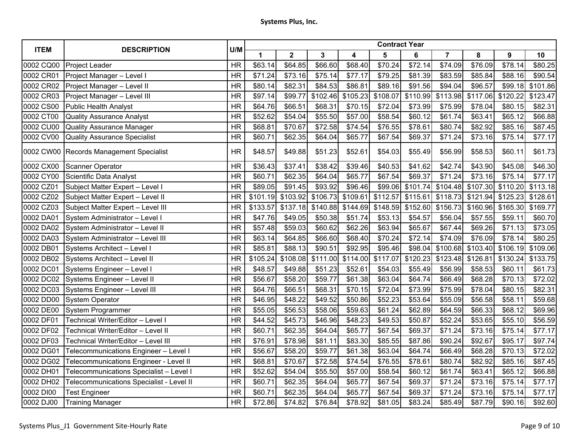| <b>ITEM</b> | <b>DESCRIPTION</b>                       | U/M       |          |              |          |          |          |          |                     |          |          |          |
|-------------|------------------------------------------|-----------|----------|--------------|----------|----------|----------|----------|---------------------|----------|----------|----------|
|             |                                          |           | 1        | $\mathbf{2}$ | 3        | 4        | 5        | 6        | $\overline{7}$      | 8        | 9        | 10       |
| 0002 CQ00   | Project Leader                           | <b>HR</b> | \$63.14  | \$64.85      | \$66.60  | \$68.40  | \$70.24  | \$72.14  | \$74.09             | \$76.09  | \$78.14  | \$80.25  |
| 0002 CR01   | Project Manager - Level I                | <b>HR</b> | \$71.24  | \$73.16      | \$75.14  | \$77.17  | \$79.25  | \$81.39  | \$83.59             | \$85.84  | \$88.16  | \$90.54  |
| 0002 CR02   | Project Manager - Level II               | <b>HR</b> | \$80.14  | \$82.31      | \$84.53  | \$86.81  | \$89.16  | \$91.56  | \$94.04             | \$96.57  | \$99.18  | \$101.86 |
| 0002 CR03   | Project Manager - Level III              | <b>HR</b> | \$97.14  | \$99.77      | \$102.46 | \$105.23 | \$108.07 | \$110.99 | \$113.98            | \$117.06 | \$120.22 | \$123.47 |
| 0002 CS00   | <b>Public Health Analyst</b>             | <b>HR</b> | \$64.76  | \$66.51      | \$68.31  | \$70.15  | \$72.04  | \$73.99  | \$75.99             | \$78.04  | \$80.15  | \$82.31  |
| 0002 CT00   | <b>Quality Assurance Analyst</b>         | <b>HR</b> | \$52.62  | \$54.04      | \$55.50  | \$57.00  | \$58.54  | \$60.12  | \$61.74             | \$63.41  | \$65.12  | \$66.88  |
| 0002 CU00   | Quality Assurance Manager                | <b>HR</b> | \$68.81  | \$70.67      | \$72.58  | \$74.54  | \$76.55  | \$78.61  | \$80.74             | \$82.92  | \$85.16  | \$87.45  |
| 0002 CV00   | <b>Quality Assurance Specialist</b>      | <b>HR</b> | \$60.71  | \$62.35      | \$64.04  | \$65.77  | \$67.54  | \$69.37  | \$71.24             | \$73.16  | \$75.14  | \$77.17  |
|             | 0002 CW00 Records Management Specialist  | <b>HR</b> | \$48.57  | \$49.88      | \$51.23  | \$52.61  | \$54.03  | \$55.49  | \$56.99             | \$58.53  | \$60.11  | \$61.73  |
| 0002 CX00   | Scanner Operator                         | <b>HR</b> | \$36.43  | \$37.41      | \$38.42  | \$39.46  | \$40.53  | \$41.62  | \$42.74             | \$43.90  | \$45.08  | \$46.30  |
| 0002 CY00   | Scientific Data Analyst                  | <b>HR</b> | \$60.71  | \$62.35      | \$64.04  | \$65.77  | \$67.54  | \$69.37  | $\overline{$}71.24$ | \$73.16  | \$75.14  | \$77.17  |
| 0002 CZ01   | Subject Matter Expert - Level I          | <b>HR</b> | \$89.05  | \$91.45      | \$93.92  | \$96.46  | \$99.06  | \$101.74 | \$104.48            | \$107.30 | \$110.20 | \$113.18 |
| 0002 CZ02   | Subject Matter Expert - Level II         | <b>HR</b> | \$101.19 | \$103.92     | \$106.73 | \$109.61 | \$112.57 | \$115.61 | \$118.73            | \$121.94 | \$125.23 | \$128.61 |
| 0002 CZ03   | Subject Matter Expert - Level III        | <b>HR</b> | \$133.57 | \$137.18     | \$140.88 | \$144.69 | \$148.59 | \$152.60 | \$156.73            | \$160.96 | \$165.30 | \$169.77 |
| 0002 DA01   | System Administrator - Level I           | <b>HR</b> | \$47.76  | \$49.05      | \$50.38  | \$51.74  | \$53.13  | \$54.57  | \$56.04             | \$57.55  | \$59.11  | \$60.70  |
| 0002 DA02   | System Administrator - Level II          | <b>HR</b> | \$57.48  | \$59.03      | \$60.62  | \$62.26  | \$63.94  | \$65.67  | \$67.44             | \$69.26  | \$71.13  | \$73.05  |
| 0002 DA03   | System Administrator - Level III         | <b>HR</b> | \$63.14  | \$64.85      | \$66.60  | \$68.40  | \$70.24  | \$72.14  | \$74.09             | \$76.09  | \$78.14  | \$80.25  |
| 0002 DB01   | Systems Architect - Level I              | <b>HR</b> | \$85.81  | \$88.13      | \$90.51  | \$92.95  | \$95.46  | \$98.04  | \$100.68            | \$103.40 | \$106.19 | \$109.06 |
| 0002 DB02   | Systems Architect - Level II             | <b>HR</b> | \$105.24 | \$108.08     | \$111.00 | \$114.00 | \$117.07 | \$120.23 | \$123.48            | \$126.81 | \$130.24 | \$133.75 |
| 0002 DC01   | Systems Engineer - Level I               | <b>HR</b> | \$48.57  | \$49.88      | \$51.23  | \$52.61  | \$54.03  | \$55.49  | \$56.99             | \$58.53  | \$60.11  | \$61.73  |
| 0002 DC02   | Systems Engineer - Level II              | <b>HR</b> | \$56.67  | \$58.20      | \$59.77  | \$61.38  | \$63.04  | \$64.74  | \$66.49             | \$68.28  | \$70.13  | \$72.02  |
| 0002 DC03   | Systems Engineer - Level III             | <b>HR</b> | \$64.76  | \$66.51      | \$68.31  | \$70.15  | \$72.04  | \$73.99  | \$75.99             | \$78.04  | \$80.15  | \$82.31  |
| 0002 DD00   | <b>System Operator</b>                   | <b>HR</b> | \$46.95  | \$48.22      | \$49.52  | \$50.86  | \$52.23  | \$53.64  | \$55.09             | \$56.58  | \$58.11  | \$59.68  |
| 0002 DE00   | System Programmer                        | <b>HR</b> | \$55.05  | \$56.53      | \$58.06  | \$59.63  | \$61.24  | \$62.89  | \$64.59             | \$66.33  | \$68.12  | \$69.96  |
| 0002 DF01   | Technical Writer/Editor - Level I        | <b>HR</b> | \$44.52  | \$45.73      | \$46.96  | \$48.23  | \$49.53  | \$50.87  | \$52.24             | \$53.65  | \$55.10  | \$56.59  |
| 0002 DF02   | Technical Writer/Editor - Level II       | <b>HR</b> | \$60.71  | \$62.35      | \$64.04  | \$65.77  | \$67.54  | \$69.37  | \$71.24             | \$73.16  | \$75.14  | \$77.17  |
| 0002 DF03   | Technical Writer/Editor - Level III      | <b>HR</b> | \$76.91  | \$78.98      | \$81.11  | \$83.30  | \$85.55  | \$87.86  | \$90.24             | \$92.67  | \$95.17  | \$97.74  |
| 0002 DG01   | Telecommunications Engineer - Level I    | <b>HR</b> | \$56.67  | \$58.20      | \$59.77  | \$61.38  | \$63.04  | \$64.74  | \$66.49             | \$68.28  | \$70.13  | \$72.02  |
| 0002 DG02   | Telecommunications Engineer - Level II   | <b>HR</b> | \$68.81  | \$70.67      | \$72.58  | \$74.54  | \$76.55  | \$78.61  | \$80.74             | \$82.92  | \$85.16  | \$87.45  |
| 0002 DH01   | Telecommunications Specialist - Level I  | <b>HR</b> | \$52.62  | \$54.04      | \$55.50  | \$57.00  | \$58.54  | \$60.12  | \$61.74             | \$63.41  | \$65.12  | \$66.88  |
| 0002 DH02   | Telecommunications Specialist - Level II | <b>HR</b> | \$60.71  | \$62.35      | \$64.04  | \$65.77  | \$67.54  | \$69.37  | \$71.24             | \$73.16  | \$75.14  | \$77.17  |
| 0002 DI00   | <b>Test Engineer</b>                     | <b>HR</b> | \$60.71  | \$62.35      | \$64.04  | \$65.77  | \$67.54  | \$69.37  | \$71.24             | \$73.16  | \$75.14  | \$77.17  |
| 0002 DJ00   | <b>Training Manager</b>                  | <b>HR</b> | \$72.86  | \$74.82      | \$76.84  | \$78.92  | \$81.05  | \$83.24  | \$85.49             | \$87.79  | \$90.16  | \$92.60  |